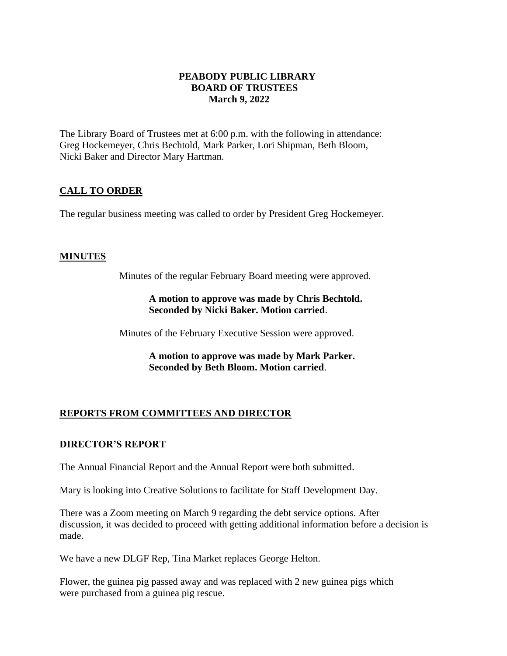#### **PEABODY PUBLIC LIBRARY BOARD OF TRUSTEES March 9, 2022**

The Library Board of Trustees met at 6:00 p.m. with the following in attendance: Greg Hockemeyer, Chris Bechtold, Mark Parker, Lori Shipman, Beth Bloom, Nicki Baker and Director Mary Hartman.

## **CALL TO ORDER**

The regular business meeting was called to order by President Greg Hockemeyer.

### **MINUTES**

Minutes of the regular February Board meeting were approved.

### **A motion to approve was made by Chris Bechtold. Seconded by Nicki Baker. Motion carried**.

Minutes of the February Executive Session were approved.

**A motion to approve was made by Mark Parker. Seconded by Beth Bloom. Motion carried**.

# **REPORTS FROM COMMITTEES AND DIRECTOR**

## **DIRECTOR'S REPORT**

The Annual Financial Report and the Annual Report were both submitted.

Mary is looking into Creative Solutions to facilitate for Staff Development Day.

There was a Zoom meeting on March 9 regarding the debt service options. After discussion, it was decided to proceed with getting additional information before a decision is made.

We have a new DLGF Rep, Tina Market replaces George Helton.

Flower, the guinea pig passed away and was replaced with 2 new guinea pigs which were purchased from a guinea pig rescue.